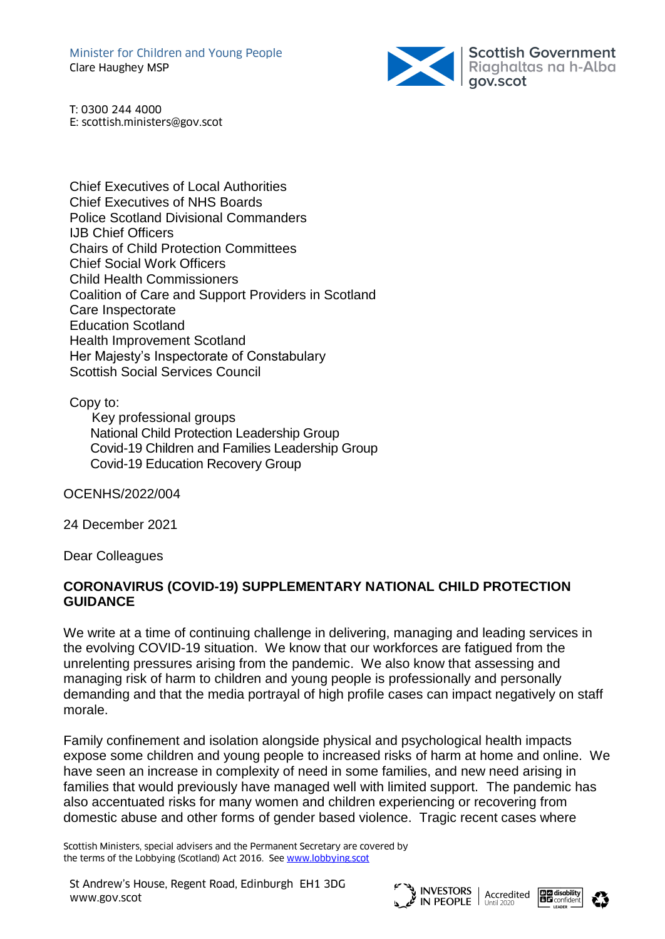Minister for Children and Young People Clare Haughey MSP



T: 0300 244 4000 E: scottish.ministers@gov.scot

Chief Executives of Local Authorities Chief Executives of NHS Boards Police Scotland Divisional Commanders IJB Chief Officers Chairs of Child Protection Committees Chief Social Work Officers Child Health Commissioners Coalition of Care and Support Providers in Scotland Care Inspectorate Education Scotland Health Improvement Scotland Her Majesty's Inspectorate of Constabulary Scottish Social Services Council

Copy to:

 Key professional groups National Child Protection Leadership Group Covid-19 Children and Families Leadership Group Covid-19 Education Recovery Group

OCENHS/2022/004

24 December 2021

Dear Colleagues

## **CORONAVIRUS (COVID-19) SUPPLEMENTARY NATIONAL CHILD PROTECTION GUIDANCE**

We write at a time of continuing challenge in delivering, managing and leading services in the evolving COVID-19 situation. We know that our workforces are fatigued from the unrelenting pressures arising from the pandemic. We also know that assessing and managing risk of harm to children and young people is professionally and personally demanding and that the media portrayal of high profile cases can impact negatively on staff morale.

Family confinement and isolation alongside physical and psychological health impacts expose some children and young people to increased risks of harm at home and online. We have seen an increase in complexity of need in some families, and new need arising in families that would previously have managed well with limited support. The pandemic has also accentuated risks for many women and children experiencing or recovering from domestic abuse and other forms of gender based violence. Tragic recent cases where

Scottish Ministers, special advisers and the Permanent Secretary are covered by the terms of the Lobbying (Scotland) Act 2016. See [www.lobbying.scot](http://www.lobbying.scot/)